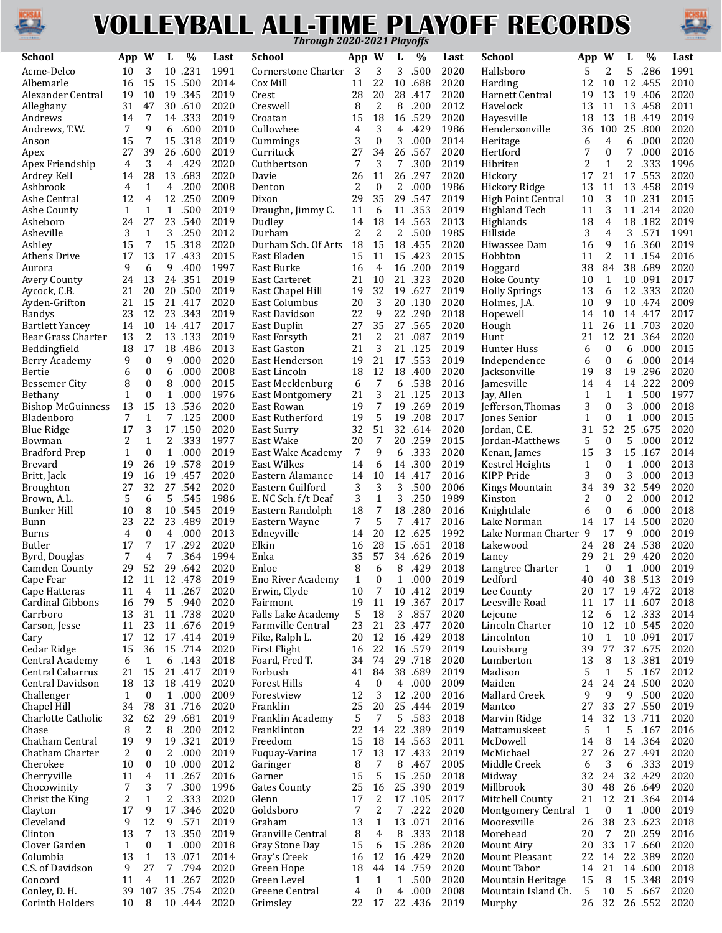

## **VOLLEYBALL ALL-TIME PLAYOFF RECORDS** *Through 2020-2021 Playoffs*



| School                    | App         | W                | L            | $\%$            | Last         | School                 | App          | W                 | L              | $\%$               | Last         | <b>School</b>        | App          | W                | L            | %                | Last         |
|---------------------------|-------------|------------------|--------------|-----------------|--------------|------------------------|--------------|-------------------|----------------|--------------------|--------------|----------------------|--------------|------------------|--------------|------------------|--------------|
| Acme-Delco                | 10          | 3                |              | 10.231          | 1991         | Cornerstone Charter    | 3            | 3                 | 3              | .500               | 2020         | Hallsboro            | 5            | 2                | 5            | .286             | 1991         |
| Albemarle                 | 16          | 15               |              | 15.500          | 2014         | Cox Mill               | 11           | 22                | 10             | .688               | 2020         | Harding              | 12           | 10               |              | 12.455           | 2010         |
| Alexander Central         | 19          | 10               | 19           | .345            | 2019         | Crest                  | 28           | 20                | 28             | .417               | 2020         | Harnett Central      | 19           | 13               | 19           | .406             | 2020         |
| Alleghany                 | 31          | 47               |              | 30.610          | 2020         | Creswell               | 8            | $\overline{c}$    | 8              | .200               | 2012         | Havelock             | 13           | 11               |              | 13.458           | 2011         |
| Andrews                   | 14          | 7                |              | 14.333          | 2019         | Croatan                | 15           | 18                |                | 16 .529            | 2020         | Hayesville           | 18           | 13               |              | 18.419           | 2019         |
| Andrews, T.W.             | 7           | 9                | 6            | .600            | 2010         | Cullowhee              | 4            | 3                 | 4              | .429               | 1986         | Hendersonville       | 36           | 100              | 25           | .800             | 2020         |
| Anson                     | 15          | 7                |              | 15 .318         | 2019         | Cummings               | 3            | $\boldsymbol{0}$  | 3              | .000               | 2014         | Heritage             | 6            | 4                | 6            | .000             | 2020         |
| Apex                      | 27          | 39               |              | 26 .600         | 2019         | Currituck              | 27           | 34                | 26             | .567               | 2020         | Hertford             | 7            | 0                | 7            | .000             | 2016         |
| Apex Friendship           | 4           | 3                | 4            | .429            | 2020         | Cuthbertson            | 7            | 3                 | 7              | .300               | 2019         | Hibriten             | 2            | $\mathbf{1}$     | 2            | .333             | 1996         |
| Ardrey Kell               | 14          | 28               |              | 13.683          | 2020         | Davie                  | 26           | 11                |                | 26 .297            | 2020         | Hickory              | 17           | 21               |              | 17.553           | 2020         |
| Ashbrook                  | 4           | $\mathbf{1}$     | 4            | .200            | 2008         | Denton                 | 2            | $\mathbf{0}$      | 2              | .000               | 1986         | <b>Hickory Ridge</b> | 13           | 11               |              | 13.458           | 2019         |
| Ashe Central              | 12          | $\overline{4}$   |              | 12.250          | 2009         | Dixon                  | 29           | 35                |                | 29 .547            | 2019         | High Point Central   | 10           | 3                |              | 10 .231          | 2015         |
| Ashe County               | 1           | 1                | 1            | .500            | 2019         | Draughn, Jimmy C.      | 11           | 6                 |                | 11 .353            | 2019         | Highland Tech        | 11           | 3                |              | 11 .214          | 2020         |
| Asheboro                  | 24          | 27               |              | 23 .540         | 2019         | Dudley                 | 14           | 18                | 14             | .563               | 2013         | Highlands            | 18           | 4                |              | 18.182           | 2019         |
| Asheville                 | 3           | $\mathbf{1}$     |              | 3.250           | 2012         | Durham                 | 2            | $\overline{c}$    |                | 2 .500             | 1985         | Hillside             | 3            | 4                |              | 3 .571           | 1991         |
| Ashley                    | 15          | 7                |              | 15 .318         | 2020         | Durham Sch. Of Arts 18 |              | 15                |                | 18 .455            | 2020         | Hiwassee Dam         | 16           | 9                |              | 16 .360          | 2019         |
| Athens Drive              | 17          | 13               |              | 17.433          | 2015         | East Bladen            | 15           | 11                | 15             | .423               | 2015         | Hobbton              | 11           | 2                |              | 11.154           | 2016         |
| Aurora                    | 9           | 6                | 9            | .400            | 1997         | East Burke             | 16           | 4                 |                | 16 .200            | 2019         | Hoggard              | 38           | 84               |              | 38.689           | 2020         |
| Avery County              | 24          | 13               |              | 24 .351         | 2019         | East Carteret          | 21           | 10                |                | 21 .323            | 2020         | <b>Hoke County</b>   | 10           | $\mathbf{1}$     | 10           | .091             | 2017         |
| Aycock, C.B.              | 21          | 20               |              | 20 .500         | 2019         | East Chapel Hill       | 19           | 32                | 19             | .627               | 2019         | <b>Holly Springs</b> | 13           | 6                |              | 12 .333          | 2020         |
| Ayden-Grifton             | 21          | 15               |              | 21 .417         | 2020         | East Columbus          | 20           | 3                 |                | 20.130             | 2020         | Holmes, J.A.         | 10           | 9                |              | 10.474           | 2009         |
| <b>Bandys</b>             | 23          | 12               |              | 23.343          | 2019         | East Davidson          | 22           | 9                 |                | 22.290             | 2018         | Hopewell             | 14           | 10               |              | 14.417           | 2017         |
| <b>Bartlett Yancey</b>    | 14          | 10               |              | 14.417          | 2017         | East Duplin            | 27           | 35                |                | 27 .565            | 2020         | Hough                | 11           | 26               |              | 11 .703          | 2020         |
| Bear Grass Charter        | 13          | 2                |              | 13.133          | 2019         | East Forsyth           | 21           | 2                 |                | 21 .087            | 2019         | Hunt                 | 21           | 12               |              | 21.364           | 2020         |
| Beddingfield              | 18          | 17               |              | 18.486          | 2013         | <b>East Gaston</b>     | 21           | 3                 |                | 21.125             | 2019         | Hunter Huss          | 6            | $\boldsymbol{0}$ | 6            | .000             | 2015         |
| Berry Academy             | 9           | $\mathbf{0}$     | 9            | .000            | 2020         | East Henderson         | 19           | 21                |                | 17.553             | 2019         | Independence         | 6            | $\boldsymbol{0}$ |              | 6 .000           | 2014         |
| Bertie                    | 6           | 0                | 6            | .000            | 2008         | East Lincoln           | 18           | 12                |                | 18.400             | 2020         | Jacksonville         | 19           | 8                |              | 19.296           | 2020         |
| Bessemer City             | 8           | $\boldsymbol{0}$ | 8            | .000            | 2015         | East Mecklenburg       | 6            | 7                 | 6              | .538               | 2016         | Jamesville           | 14           | 4                |              | 14.222           | 2009         |
| Bethany                   | $\mathbf 1$ | $\boldsymbol{0}$ | $\mathbf{1}$ | .000            | 1976         | <b>East Montgomery</b> | 21           | 3                 |                | 21.125             | 2013         | Jay, Allen           | $\mathbf{1}$ | $\mathbf{1}$     |              | 1 .500           | 1977         |
| <b>Bishop McGuinness</b>  | 13          | 15               |              | 13.536          | 2020         | East Rowan             | 19           | 7                 | 19             | .269               | 2019         | Jefferson, Thomas    | 3            | $\boldsymbol{0}$ | 3            | .000             | 2018         |
| Bladenboro                | 7           | $\mathbf{1}$     |              | 7 .125          | 2000         | East Rutherford        | 19           | 5                 | 19             | .208               | 2017         | Jones Senior         | $\mathbf{1}$ | $\boldsymbol{0}$ | $\mathbf{1}$ | .000             | 2015         |
| <b>Blue Ridge</b>         | 17          | 3                |              | 17.150          | 2020         | East Surry             | 32           | 51                |                | 32 .614            | 2020         | Jordan, C.E.         | 31           | 52               |              | 25 .675          | 2020         |
| Bowman                    | 2           | $\mathbf{1}$     | 2            | .333            | 1977         | East Wake              | 20           | 7                 | 20             | .259               | 2015         | Jordan-Matthews      | 5            | $\boldsymbol{0}$ | 5            | .000             | 2012         |
| <b>Bradford Prep</b>      | $\mathbf 1$ | $\boldsymbol{0}$ | $\mathbf{1}$ | .000            | 2019         | East Wake Academy      | 7            | 9                 | 6              | .333               | 2020         | Kenan, James         | 15           | 3                |              | 15.167           | 2014         |
| Brevard                   | 19          | 26               |              | 19.578          | 2019         | East Wilkes            | 14           | 6                 | 14             | .300               | 2019         | Kestrel Heights      | $\mathbf{1}$ | $\boldsymbol{0}$ | $\mathbf{1}$ | .000             | 2013         |
| Britt, Jack               | 19          | 16               | 19           | .457            | 2020         | Eastern Alamance       | 14           | 10                | 14             | .417               | 2016         | KIPP Pride           | 3            | $\boldsymbol{0}$ | 3            | .000             | 2013         |
| <b>Broughton</b>          | 27          | 32               |              | 27.542          | 2020         | Eastern Guilford       | 3            | 3                 | 3              | .500               | 2006         | Kings Mountain       | 34           | 39               |              | 32 .549          | 2020         |
| Brown, A.L.               | 5           | 6                |              | 5.545           | 1986         | E. NC Sch. f/t Deaf    | 3            | 1                 | 3              | .250               | 1989         | Kinston              | 2            | $\mathbf{0}$     | 2            | .000             | 2012         |
| <b>Bunker Hill</b>        | 10          | 8                |              | 10 .545         | 2019         | Eastern Randolph       | 18           | $\overline{7}$    | 18             | .280               | 2016         | Knightdale           | 6            | $\mathbf{0}$     | 6            | .000             | 2018         |
| Bunn                      | 23          | 22               |              | 23.489          | 2019         | Eastern Wayne          | 7            | 5                 | 7              | .417               | 2016         | Lake Norman          | 14           | 17               |              | 14.500           | 2020         |
| Burns                     | 4           | 0                | 4            | .000            | 2013         | Edneyville             | 14           | 20                | 12             | .625               | 1992         | Lake Norman Charter  | 9            | 17               | 9            | .000             | 2019         |
| <b>Butler</b>             | 17          | 7                |              | 17.292          | 2020         | Elkin                  | 16           | 28                | 15             | .651               | 2018         | Lakewood             | 24           | 28               |              | 24.538           | 2020         |
| Byrd, Douglas             | 7           | 4                | 7            | .364            | 1994         | Enka                   | 35           | 57                |                | 34.626             | 2019         | Laney                | 29           | 21               |              | 29.420           | 2020         |
| Camden County             | 29          | 52               |              | 29 .642         | 2020         | Enloe                  | 8            | 6                 | 8              | .429               | 2018         | Langtree Charter     | $\mathbf{1}$ | $\mathbf{0}$     | $\mathbf{1}$ | .000             | 2019         |
| Cape Fear                 |             |                  |              | 12 11 12 478    | 2019         | Eno River Academy      | $\mathbf{1}$ | $\Omega$          | $\mathbf{1}$   | .000               | 2019         | Ledford              | 40           | 40               |              | 38.513           | 2019         |
| Cape Hatteras             | 11          | 4                |              | 11 .267         | 2020         | Erwin, Clyde           | 10           | 7                 |                | 10 .412            | 2019         | Lee County           | 20           | 17               |              | 19.472           | 2018         |
| Cardinal Gibbons          | 16          | 79               |              | 5 .940          | 2020         | Fairmont               | 19           | 11                |                | 19 .367            | 2017         | Leesville Road       | 11           | 17               |              | 11.607           | 2018         |
| Carrboro                  | 13          | 31               |              | 11 .738         | 2020         | Falls Lake Academy     | 5            | 18                |                | 3 .857             | 2020         | Lejeune              | 12           | 6                |              | 12 .333          | 2014         |
| Carson, Jesse             | 11          | 23               |              | 11 .676         | 2019         | Farmville Central      | 23           | 21                |                | 23.477             | 2020         | Lincoln Charter      | 10           | 12               |              | 10 .545          | 2020         |
| Cary                      | 17          | 12               |              | 17.414          | 2019         | Fike, Ralph L.         | 20           | 12                |                | 16 .429            | 2018         | Lincolnton           | 10           | 1                |              | 10.091           | 2017         |
| Cedar Ridge               | 15          | 36               |              | 15.714          | 2020         | First Flight           | 16           | 22                |                | 16 .579            | 2019         | Louisburg            | 39           | 77               |              | 37.675           | 2020         |
| Central Academy           | 6           | 1                |              | 6 .143          | 2018         | Foard, Fred T.         | 34           | 74                |                | 29.718             | 2020         | Lumberton            | 13           | 8                |              | 13.381           | 2019         |
| Central Cabarrus          | 21          | 15               |              | 21 .417         | 2019         | Forbush                | 41           | 84                |                | 38.689             | 2019         | Madison              | 5            | $\mathbf{1}$     |              | 5 .167           | 2012         |
| Central Davidson          | 18          | 13               |              | 18.419          | 2020         | <b>Forest Hills</b>    | 4            | $\mathbf{0}$      | $\overline{4}$ | .000               | 2009         | Maiden               | 24           | 24               |              | 24.500           | 2020         |
| Challenger                | 1           | $\bf{0}$         |              | 1 .000          | 2009         | Forestview             | 12           | 3                 |                | 12 .200            | 2016         | Mallard Creek        | 9            | 9                | 9            | .500             | 2020         |
| Chapel Hill               | 34          | 78               |              | 31.716          | 2020         | Franklin               | 25           | 20                |                | 25.444             | 2019         | Manteo               | 27           | 33               |              | 27.550           | 2019         |
| Charlotte Catholic        | 32          | 62               |              | 29 .681         | 2019         | Franklin Academy       | 5            | 7                 |                | 5 .583             | 2018         | Marvin Ridge         | 14           | 32               |              | 13.711           | 2020         |
| Chase                     | 8           | $\overline{c}$   | 8            | .200            | 2012         | Franklinton            | 22           | 14                |                | 22 .389            | 2019         | Mattamuskeet         | 5            | $\mathbf{1}$     |              | 5 .167           | 2016         |
| Chatham Central           | 19          | 9                |              | 19 .321         | 2019         | Freedom                | 15           | 18                |                | 14 .563            | 2011         | McDowell             | 14           | 8                |              | 14.364           | 2020         |
| Chatham Charter           | 2           | 0                |              | 2 .000          | 2019         | Fuquay-Varina          | 17           | 13                |                | 17.433             | 2019         | McMichael            | 27           | 26               |              | 27.491           | 2020         |
| Cherokee                  | 10          | $\bf{0}$         |              | 10 .000         | 2012         |                        | 8            | 7                 | 8              | .467               | 2005         | Middle Creek         | 6            | 3                |              | 6 .333           | 2019         |
| Cherryville               | 11          | 4                |              | 11 .267         | 2016         | Garinger<br>Garner     | 15           | 5                 |                | 15 .250            | 2018         | Midway               | 32           | 24               |              | 32.429           | 2020         |
| Chocowinity               | 7           | 3                | $7^{\circ}$  | .300            | 1996         | <b>Gates County</b>    | 25           | 16                |                | 25 .390            | 2019         | Millbrook            | 30           | 48               |              | 26.649           | 2020         |
|                           |             |                  |              |                 | 2020         |                        | 17           | 2                 |                | 17.105             | 2017         |                      |              | 12               |              |                  | 2014         |
| Christ the King           | 2<br>17     | 1                |              | 2 .333          |              | Glenn                  | 7            | 2                 |                |                    | 2020         | Mitchell County      | 21           | $\bf{0}$         |              | 21.364           |              |
| Clayton                   |             | 9<br>12          | 9            | 17.346          | 2020<br>2019 | Goldsboro              | 13           | $\mathbf{1}$      |                | 7 .222<br>13.071   | 2016         | Montgomery Central 1 | 26           | 38               |              | 1 .000<br>23.623 | 2019<br>2018 |
| Cleveland                 | 9<br>13     | $\overline{7}$   |              | .571            |              | Graham                 |              | 4                 |                |                    | 2018         | Mooresville          | 20           | $\overline{7}$   |              |                  | 2016         |
| Clinton                   |             |                  |              | 13.350          | 2019         | Granville Central      | 8            |                   |                | 8.333              |              | Morehead             |              |                  |              | 20 .259          |              |
| Clover Garden<br>Columbia | 1           | 0                | $\mathbf{1}$ | .000<br>13 .071 | 2018<br>2014 | Gray Stone Day         | 15           | 6<br>12           |                | 15 .286<br>16 .429 | 2020<br>2020 | Mount Airy           | 20<br>22     | 33               |              | 17.660<br>22.389 | 2020<br>2020 |
|                           | 13          | 1                |              |                 |              | Gray's Creek           | 16           |                   |                |                    |              | Mount Pleasant       |              | 14               |              |                  |              |
| C.S. of Davidson          | 9           | 27               |              | 7.794           | 2020         | Green Hope             | 18           | 44                |                | 14.759             | 2020         | Mount Tabor          | 14           | 21               |              | 14 .600          | 2018         |
| Concord                   | 11<br>39    | 4<br>107         |              | 11 .267         | 2020         | Green Level            | $\mathbf{1}$ | 1<br>$\mathbf{0}$ | $\mathbf{1}$   | .500<br>4 .000     | 2020<br>2008 | Mountain Heritage    | 15           | 8<br>10          |              | 15 .348          | 2019         |
| Conley, D. H.             |             |                  |              | 35.754          | 2020         | Greene Central         | 4            |                   |                |                    |              | Mountain Island Ch.  | 5            |                  |              | 5 .667           | 2020         |
| Corinth Holders           | 10          | 8                |              | 10.444          | 2020         | Grimsley               | 22           | 17                |                | 22.436             | 2019         | Murphy               | 26           | 32               |              | 26.552           | 2020         |